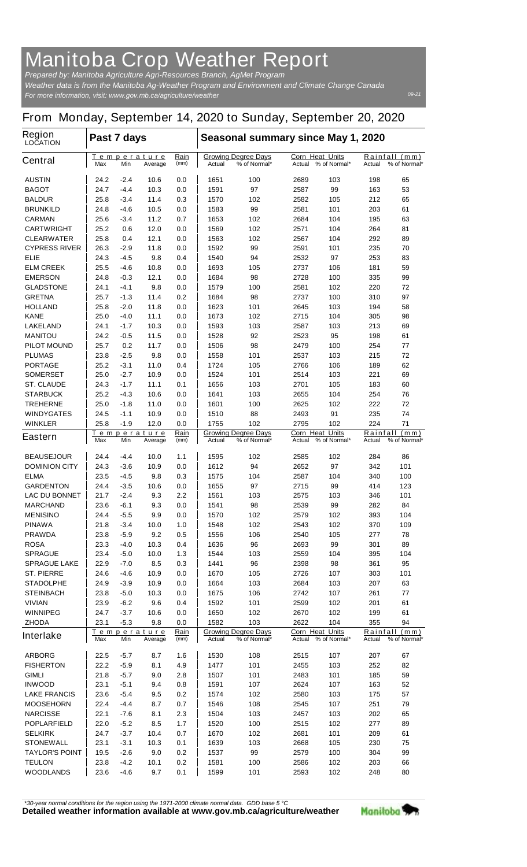## **Manitoba Crop Weather Report**

*For more information, visit: www.gov.mb.ca/agriculture/weather Prepared by: Manitoba Agriculture Agri-Resources Branch, AgMet Program Weather data is from the Manitoba Ag-Weather Program and Environment and Climate Change Canada*

## **From Monday, September 14, 2020 to Sunday, September 20, 2020**

| <b>Region</b><br><b>LOCATION</b>     |                                                                    | Past 7 days      |                        |                                                      |              | Seasonal summary since May 1, 2020            |                                  |                                                   |            |                                      |  |  |
|--------------------------------------|--------------------------------------------------------------------|------------------|------------------------|------------------------------------------------------|--------------|-----------------------------------------------|----------------------------------|---------------------------------------------------|------------|--------------------------------------|--|--|
| <b>Central</b>                       | Max                                                                | Min              | Temperature<br>Average | Rain<br>(mm)                                         | Actual       | <b>Growing Degree Days</b><br>% of Normal*    | <b>Corn Heat Units</b><br>Actual | % of Normal*                                      | Actual     | <u>Rainfall (mm)</u><br>% of Normal* |  |  |
| <b>AUSTIN</b>                        | 24.2                                                               | -2.4             | 10.6                   | 0.0                                                  | 1651         | 100                                           | 2689                             | 103                                               | 198        | 65                                   |  |  |
| <b>BAGOT</b>                         | 24.7                                                               | -4.4             | 10.3                   | 0.0                                                  | 1591         | 97                                            | 2587                             | 99                                                | 163        | 53                                   |  |  |
| <b>BALDUR</b>                        | 25.8                                                               | -3.4             | 11.4                   | 0.3                                                  | 1570         | 102                                           | 2582                             | 105                                               | 212        | 65                                   |  |  |
| <b>BRUNKILD</b>                      | 24.8                                                               | -4.6             | 10.5                   | 0.0                                                  | 1583         | 99                                            | 2581                             | 101                                               | 203        | 61                                   |  |  |
| <b>CARMAN</b>                        | 25.6                                                               | $-3.4$           | 11.2                   | 0.7                                                  | 1653         | 102                                           | 2684                             | 104                                               | 195        | 63                                   |  |  |
| <b>CARTWRIGHT</b>                    | 25.2                                                               | 0.6              | 12.0                   | 0.0                                                  | 1569         | 102                                           | 2571                             | 104                                               | 264        | 81                                   |  |  |
| <b>CLEARWATER</b>                    | 25.8                                                               | 0.4              | 12.1                   | 0.0                                                  | 1563         | 102                                           | 2567                             | 104                                               | 292        | 89                                   |  |  |
| <b>CYPRESS RIVER</b><br><b>ELIE</b>  | 26.3<br>24.3                                                       | $-2.9$<br>-4.5   | 11.8<br>9.8            | 0.0<br>0.4                                           | 1592<br>1540 | 99<br>94                                      | 2591<br>2532                     | 101<br>97                                         | 235<br>253 | 70<br>83                             |  |  |
| <b>ELM CREEK</b>                     | 25.5                                                               | -4.6             | 10.8                   | 0.0                                                  | 1693         | 105                                           | 2737                             | 106                                               | 181        | 59                                   |  |  |
| <b>EMERSON</b>                       | 24.8                                                               | $-0.3$           | 12.1                   | 0.0                                                  | 1684         | 98                                            | 2728                             | 100                                               | 335        | 99                                   |  |  |
| <b>GLADSTONE</b>                     | 24.1                                                               | $-4.1$           | 9.8                    | 0.0                                                  | 1579         | 100                                           | 2581                             | 102                                               | 220        | 72                                   |  |  |
| <b>GRETNA</b>                        | 25.7                                                               | $-1.3$           | 11.4                   | 0.2                                                  | 1684         | 98                                            | 2737                             | 100                                               | 310        | 97                                   |  |  |
| <b>HOLLAND</b>                       | 25.8                                                               | -2.0             | 11.8                   | 0.0                                                  | 1623         | 101                                           | 2645                             | 103                                               | 194        | 58                                   |  |  |
| <b>KANE</b>                          | 25.0                                                               | -4.0             | 11.1                   | 0.0                                                  | 1673         | 102                                           | 2715                             | 104                                               | 305        | 98                                   |  |  |
| <b>LAKELAND</b>                      | 24.1                                                               | $-1.7$           | 10.3                   | 0.0                                                  | 1593         | 103                                           | 2587                             | 103                                               | 213        | 69                                   |  |  |
| <b>MANITOU</b>                       | 24.2                                                               | -0.5             | 11.5                   | 0.0                                                  | 1528         | 92                                            | 2523                             | 95                                                | 198        | 61                                   |  |  |
| <b>PILOT MOUND</b>                   | 25.7                                                               | 0.2              | 11.7                   | 0.0                                                  | 1506         | 98                                            | 2479                             | 100                                               | 254        | 77                                   |  |  |
| <b>PLUMAS</b>                        | 23.8                                                               | -2.5             | 9.8                    | 0.0                                                  | 1558         | 101                                           | 2537                             | 103                                               | 215        | 72                                   |  |  |
| <b>PORTAGE</b>                       | 25.2                                                               | $-3.1$           | 11.0                   | 0.4                                                  | 1724         | 105                                           | 2766                             | 106                                               | 189        | 62                                   |  |  |
| <b>SOMERSET</b>                      | 25.0                                                               | $-2.7$           | 10.9                   | 0.0                                                  | 1524         | 101                                           | 2514                             | 103                                               | 221        | 69                                   |  |  |
| <b>ST. CLAUDE</b>                    | 24.3                                                               | $-1.7$           | 11.1                   | 0.1                                                  | 1656         | 103                                           | 2701                             | 105                                               | 183        | 60                                   |  |  |
| <b>STARBUCK</b>                      | 25.2<br>25.0                                                       | -4.3             | 10.6<br>11.0           | 0.0                                                  | 1641<br>1601 | 103                                           | 2655                             | 104                                               | 254        | 76<br>72                             |  |  |
| <b>TREHERNE</b><br><b>WINDYGATES</b> | 24.5                                                               | $-1.8$<br>$-1.1$ | 10.9                   | 0.0<br>0.0                                           | 1510         | 100<br>88                                     | 2625<br>2493                     | 102<br>91                                         | 222<br>235 | 74                                   |  |  |
| <b>WINKLER</b>                       | 25.8                                                               | $-1.9$           | 12.0                   | 0.0                                                  | 1755         | 102                                           | 2795                             | 102                                               | 224        | 71                                   |  |  |
|                                      |                                                                    |                  | Temperature            | <u>Rain</u>                                          |              | <b>Growing Degree Days</b>                    | <b>Corn Heat Units</b>           |                                                   | Rainfall   | (mm)                                 |  |  |
| <b>Eastern</b>                       | Max                                                                | Min              | Average                | (mm)                                                 | Actual       | % of Normal*                                  | Actual                           | % of Normal*                                      | Actual     | % of Normal*                         |  |  |
| <b>BEAUSEJOUR</b>                    | 24.4                                                               | $-4.4$           | 10.0                   | 1.1                                                  | 1595         | 102                                           | 2585                             | 102                                               | 284        | 86                                   |  |  |
| <b>DOMINION CITY</b>                 | 24.3                                                               | -3.6             | 10.9                   | 0.0                                                  | 1612         | 94                                            | 2652                             | 97                                                | 342        | 101                                  |  |  |
| <b>ELMA</b>                          | 23.5                                                               | -4.5             | 9.8                    | 0.3                                                  | 1575         | 104                                           | 2587                             | 104                                               | 340        | 100                                  |  |  |
| <b>GARDENTON</b>                     | 24.4                                                               | -3.5             | 10.6                   | 0.0                                                  | 1655         | 97                                            | 2715                             | 99                                                | 414        | 123                                  |  |  |
| <b>LAC DU BONNET</b>                 | 21.7                                                               | $-2.4$           | 9.3                    | 2.2                                                  | 1561         | 103                                           | 2575                             | 103                                               | 346        | 101                                  |  |  |
| <b>MARCHAND</b>                      | 23.6                                                               | -6.1             | 9.3                    | 0.0                                                  | 1541         | 98                                            | 2539                             | 99                                                | 282        | 84                                   |  |  |
| <b>MENISINO</b>                      | 24.4                                                               | $-5.5$           | 9.9                    | 0.0                                                  | 1570         | 102                                           | 2579                             | 102                                               | 393        | 104                                  |  |  |
| <b>PINAWA</b>                        | 21.8                                                               | -3.4             | 10.0                   | 1.0                                                  | 1548         | 102                                           | 2543                             | 102                                               | 370        | 109                                  |  |  |
| <b>PRAWDA</b><br><b>ROSA</b>         | 23.8<br>23.3                                                       | $-5.9$<br>$-4.0$ | 9.2<br>10.3            | 0.5<br>0.4                                           | 1556<br>1636 | 106<br>96                                     | 2540<br>2693                     | 105<br>99                                         | 277<br>301 | 78<br>89                             |  |  |
| <b>SPRAGUE</b>                       | 23.4                                                               | $-5.0$           | 10.0                   | 1.3                                                  | 1544         | 103                                           | 2559                             | 104                                               | 395        | 104                                  |  |  |
| <b>SPRAGUE LAKE</b>                  | 22.9                                                               | -7.0             | 8.5                    | 0.3                                                  | 1441         | 96                                            | 2398                             | 98                                                | 361        | 95                                   |  |  |
| <b>ST. PIERRE</b>                    | 24.6                                                               | -4.6             | 10.9                   | 0.0                                                  | 1670         | 105                                           | 2726                             | 107                                               | 303        | 101                                  |  |  |
| <b>STADOLPHE</b>                     | 24.9                                                               | $-3.9$           | 10.9                   | 0.0                                                  | 1664         | 103                                           | 2684                             | 103                                               | 207        | 63                                   |  |  |
| <b>STEINBACH</b>                     | 23.8                                                               | $-5.0$           | 10.3                   | 0.0                                                  | 1675         | 106                                           | 2742                             | 107                                               | 261        | 77                                   |  |  |
| <b>VIVIAN</b>                        | 23.9                                                               | $-6.2$           | 9.6                    | 0.4                                                  | 1592         | 101                                           | 2599                             | 102                                               | 201        | 61                                   |  |  |
| <b>WINNIPEG</b>                      | 24.7                                                               | $-3.7$           | 10.6                   | 0.0                                                  | 1650         | 102                                           | 2670                             | 102                                               | 199        | 61                                   |  |  |
| <b>ZHODA</b>                         | 23.1                                                               | $-5.3$           | 9.8                    | 0.0                                                  | 1582         | 103                                           | 2622                             | 104                                               | 355        | 94                                   |  |  |
| <b>Interlake</b>                     | <u>Rain</u><br><u>Temperature</u><br>(mm)<br>Max<br>Min<br>Average |                  |                        | <b>Growing Degree Days</b><br>% of Normal*<br>Actual |              | <b>Corn Heat Units</b><br>Actual % of Normal* |                                  | Rainfall<br><u>(mm)</u><br>Actual<br>% of Normal* |            |                                      |  |  |
| <b>ARBORG</b>                        | 22.5                                                               | $-5.7$           | 8.7                    | 1.6                                                  | 1530         | 108                                           | 2515                             | 107                                               | 207        | 67                                   |  |  |
| <b>FISHERTON</b>                     | 22.2                                                               | $-5.9$           | 8.1                    | 4.9                                                  | 1477         | 101                                           | 2455                             | 103                                               | 252        | 82                                   |  |  |
| <b>GIMLI</b>                         | 21.8                                                               | -5.7             | 9.0                    | 2.8                                                  | 1507         | 101                                           | 2483                             | 101                                               | 185        | 59                                   |  |  |
| <b>INWOOD</b>                        | 23.1                                                               | $-5.1$           | 9.4                    | 0.8                                                  | 1591         | 107                                           | 2624                             | 107                                               | 163        | 52                                   |  |  |
| <b>LAKE FRANCIS</b>                  | 23.6                                                               | -5.4             | 9.5                    | 0.2                                                  | 1574         | 102                                           | 2580                             | 103                                               | 175        | 57                                   |  |  |
| <b>MOOSEHORN</b>                     | 22.4                                                               | $-4.4$           | 8.7                    | 0.7                                                  | 1546         | 108                                           | 2545                             | 107                                               | 251        | 79                                   |  |  |
| <b>NARCISSE</b>                      | 22.1                                                               | $-7.6$           | 8.1                    | 2.3                                                  | 1504         | 103                                           | 2457                             | 103                                               | 202        | 65                                   |  |  |
| <b>POPLARFIELD</b>                   | 22.0                                                               | $-5.2$           | 8.5                    | 1.7                                                  | 1520         | 100                                           | 2515                             | 102                                               | 277        | 89                                   |  |  |
| <b>SELKIRK</b>                       | 24.7                                                               | $-3.7$           | 10.4                   | 0.7                                                  | 1670         | 102                                           | 2681                             | 101                                               | 209        | 61                                   |  |  |
| <b>STONEWALL</b>                     | 23.1                                                               | $-3.1$           | 10.3                   | 0.1                                                  | 1639         | 103                                           | 2668                             | 105                                               | 230        | 75                                   |  |  |
| <b>TAYLOR'S POINT</b>                | 19.5                                                               | -2.6             | 9.0                    | 0.2                                                  | 1537         | 99                                            | 2579                             | 100                                               | 304        | 99                                   |  |  |
| <b>TEULON</b>                        | 23.8                                                               | -4.2             | 10.1                   | 0.2                                                  | 1581         | 100                                           | 2586                             | 102                                               | 203        | 66                                   |  |  |
| <b>WOODLANDS</b>                     | 23.6                                                               | $-4.6$           | 9.7                    | 0.1                                                  | 1599         | 101                                           | 2593                             | 102                                               | 248        | 80                                   |  |  |

*\*30-year normal conditions for the region using the 1971-2000 climate normal data. GDD base 5 °C*<br>Detailed weather information available at www.gov.mb.ca/agriculture/weather